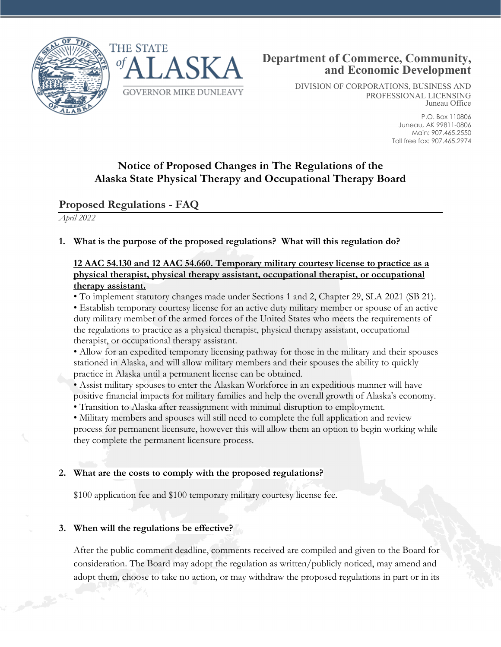



DIVISION OF CORPORATIONS, BUSINESS AND PROFESSIONAL LICENSING Juneau Office

> P.O. Box 110806 Juneau, AK 99811-0806 Main: 907.465.2550 Toll free fax: 907.465.2974

# **Notice of Proposed Changes in The Regulations of the Alaska State Physical Therapy and Occupational Therapy Board**

## **Proposed Regulations - FAQ**

*April 2022*

### **1. What is the purpose of the proposed regulations? What will this regulation do?**

#### **12 AAC 54.130 and 12 AAC 54.660. Temporary military courtesy license to practice as a physical therapist, physical therapy assistant, occupational therapist, or occupational therapy assistant.**

• To implement statutory changes made under Sections 1 and 2, Chapter 29, SLA 2021 (SB 21). • Establish temporary courtesy license for an active duty military member or spouse of an active duty military member of the armed forces of the United States who meets the requirements of the regulations to practice as a physical therapist, physical therapy assistant, occupational therapist, or occupational therapy assistant.

• Allow for an expedited temporary licensing pathway for those in the military and their spouses stationed in Alaska, and will allow military members and their spouses the ability to quickly practice in Alaska until a permanent license can be obtained.

• Assist military spouses to enter the Alaskan Workforce in an expeditious manner will have positive financial impacts for military families and help the overall growth of Alaska's economy.

• Transition to Alaska after reassignment with minimal disruption to employment.

• Military members and spouses will still need to complete the full application and review process for permanent licensure, however this will allow them an option to begin working while they complete the permanent licensure process.

#### **2. What are the costs to comply with the proposed regulations?**

\$100 application fee and \$100 temporary military courtesy license fee.

#### **3. When will the regulations be effective?**

After the public comment deadline, comments received are compiled and given to the Board for consideration. The Board may adopt the regulation as written/publicly noticed, may amend and adopt them, choose to take no action, or may withdraw the proposed regulations in part or in its